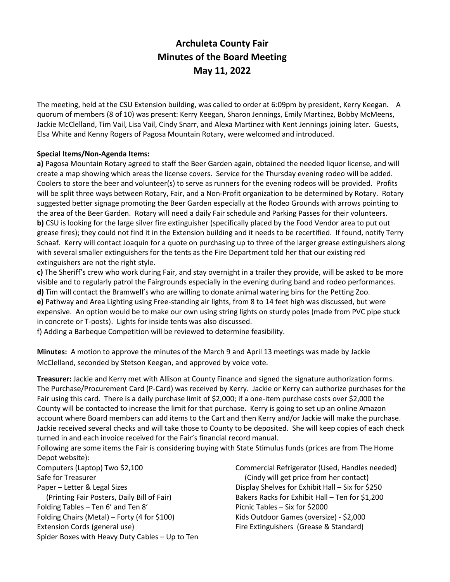# **Archuleta County Fair Minutes of the Board Meeting May 11, 2022**

The meeting, held at the CSU Extension building, was called to order at 6:09pm by president, Kerry Keegan. A quorum of members (8 of 10) was present: Kerry Keegan, Sharon Jennings, Emily Martinez, Bobby McMeens, Jackie McClelland, Tim Vail, Lisa Vail, Cindy Snarr, and Alexa Martinez with Kent Jennings joining later. Guests, Elsa White and Kenny Rogers of Pagosa Mountain Rotary, were welcomed and introduced.

#### **Special Items/Non-Agenda Items:**

**a)** Pagosa Mountain Rotary agreed to staff the Beer Garden again, obtained the needed liquor license, and will create a map showing which areas the license covers. Service for the Thursday evening rodeo will be added. Coolers to store the beer and volunteer(s) to serve as runners for the evening rodeos will be provided. Profits will be split three ways between Rotary, Fair, and a Non-Profit organization to be determined by Rotary. Rotary suggested better signage promoting the Beer Garden especially at the Rodeo Grounds with arrows pointing to the area of the Beer Garden. Rotary will need a daily Fair schedule and Parking Passes for their volunteers. **b)** CSU is looking for the large silver fire extinguisher (specifically placed by the Food Vendor area to put out grease fires); they could not find it in the Extension building and it needs to be recertified. If found, notify Terry Schaaf. Kerry will contact Joaquin for a quote on purchasing up to three of the larger grease extinguishers along with several smaller extinguishers for the tents as the Fire Department told her that our existing red extinguishers are not the right style.

**c)** The Sheriff's crew who work during Fair, and stay overnight in a trailer they provide, will be asked to be more visible and to regularly patrol the Fairgrounds especially in the evening during band and rodeo performances.

**d)** Tim will contact the Bramwell's who are willing to donate animal watering bins for the Petting Zoo. **e)** Pathway and Area Lighting using Free-standing air lights, from 8 to 14 feet high was discussed, but were expensive. An option would be to make our own using string lights on sturdy poles (made from PVC pipe stuck in concrete or T-posts). Lights for inside tents was also discussed.

f) Adding a Barbeque Competition will be reviewed to determine feasibility.

**Minutes:** A motion to approve the minutes of the March 9 and April 13 meetings was made by Jackie McClelland, seconded by Stetson Keegan, and approved by voice vote.

**Treasurer:** Jackie and Kerry met with Allison at County Finance and signed the signature authorization forms. The Purchase/Procurement Card (P-Card) was received by Kerry. Jackie or Kerry can authorize purchases for the Fair using this card. There is a daily purchase limit of \$2,000; if a one-item purchase costs over \$2,000 the County will be contacted to increase the limit for that purchase. Kerry is going to set up an online Amazon account where Board members can add items to the Cart and then Kerry and/or Jackie will make the purchase. Jackie received several checks and will take those to County to be deposited. She will keep copies of each check turned in and each invoice received for the Fair's financial record manual.

Following are some items the Fair is considering buying with State Stimulus funds (prices are from The Home Depot website):

Computers (Laptop) Two \$2,100 Safe for Treasurer Paper – Letter & Legal Sizes (Printing Fair Posters, Daily Bill of Fair) Folding Tables – Ten 6' and Ten 8' Folding Chairs (Metal) – Forty (4 for \$100) Extension Cords (general use) Spider Boxes with Heavy Duty Cables – Up to Ten Commercial Refrigerator (Used, Handles needed) (Cindy will get price from her contact) Display Shelves for Exhibit Hall – Six for \$250 Bakers Racks for Exhibit Hall – Ten for \$1,200 Picnic Tables – Six for \$2000 Kids Outdoor Games (oversize) - \$2,000 Fire Extinguishers (Grease & Standard)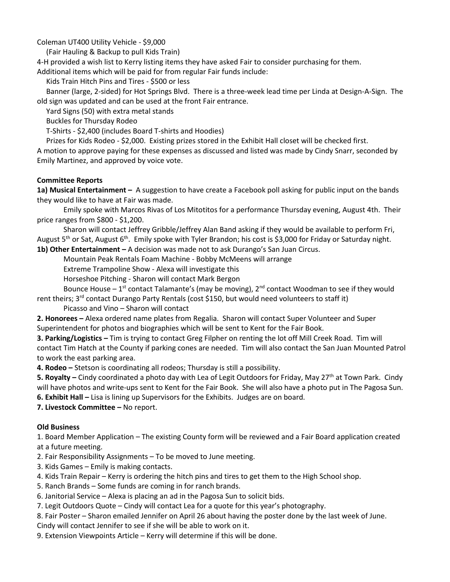Coleman UT400 Utility Vehicle - \$9,000

(Fair Hauling & Backup to pull Kids Train)

4-H provided a wish list to Kerry listing items they have asked Fair to consider purchasing for them.

Additional items which will be paid for from regular Fair funds include:

Kids Train Hitch Pins and Tires - \$500 or less

 Banner (large, 2-sided) for Hot Springs Blvd. There is a three-week lead time per Linda at Design-A-Sign. The old sign was updated and can be used at the front Fair entrance.

Yard Signs (50) with extra metal stands

Buckles for Thursday Rodeo

T-Shirts - \$2,400 (includes Board T-shirts and Hoodies)

Prizes for Kids Rodeo - \$2,000. Existing prizes stored in the Exhibit Hall closet will be checked first.

A motion to approve paying for these expenses as discussed and listed was made by Cindy Snarr, seconded by Emily Martinez, and approved by voice vote.

## **Committee Reports**

**1a) Musical Entertainment –** A suggestion to have create a Facebook poll asking for public input on the bands they would like to have at Fair was made.

Emily spoke with Marcos Rivas of Los Mitotitos for a performance Thursday evening, August 4th. Their price ranges from \$800 - \$1,200.

Sharon will contact Jeffrey Gribble/Jeffrey Alan Band asking if they would be available to perform Fri, August 5<sup>th</sup> or Sat, August  $6^{th}$ . Emily spoke with Tyler Brandon; his cost is \$3,000 for Friday or Saturday night.

**1b) Other Entertainment –** A decision was made not to ask Durango's San Juan Circus.

Mountain Peak Rentals Foam Machine - Bobby McMeens will arrange

Extreme Trampoline Show - Alexa will investigate this

Horseshoe Pitching - Sharon will contact Mark Bergon

Bounce House  $-1^{st}$  contact Talamante's (may be moving),  $2^{nd}$  contact Woodman to see if they would

rent theirs; 3<sup>rd</sup> contact Durango Party Rentals (cost \$150, but would need volunteers to staff it)

Picasso and Vino – Sharon will contact

**2. Honorees –** Alexa ordered name plates from Regalia. Sharon will contact Super Volunteer and Super Superintendent for photos and biographies which will be sent to Kent for the Fair Book.

**3. Parking/Logistics –** Tim is trying to contact Greg Filpher on renting the lot off Mill Creek Road. Tim will contact Tim Hatch at the County if parking cones are needed. Tim will also contact the San Juan Mounted Patrol to work the east parking area.

**4. Rodeo –** Stetson is coordinating all rodeos; Thursday is still a possibility.

**5. Royalty –** Cindy coordinated a photo day with Lea of Legit Outdoors for Friday, May 27th at Town Park. Cindy will have photos and write-ups sent to Kent for the Fair Book. She will also have a photo put in The Pagosa Sun. **6. Exhibit Hall –** Lisa is lining up Supervisors for the Exhibits. Judges are on board.

**7. Livestock Committee –** No report.

## **Old Business**

1. Board Member Application – The existing County form will be reviewed and a Fair Board application created at a future meeting.

2. Fair Responsibility Assignments – To be moved to June meeting.

3. Kids Games – Emily is making contacts.

4. Kids Train Repair – Kerry is ordering the hitch pins and tires to get them to the High School shop.

- 5. Ranch Brands Some funds are coming in for ranch brands.
- 6. Janitorial Service Alexa is placing an ad in the Pagosa Sun to solicit bids.
- 7. Legit Outdoors Quote Cindy will contact Lea for a quote for this year's photography.

8. Fair Poster – Sharon emailed Jennifer on April 26 about having the poster done by the last week of June.

Cindy will contact Jennifer to see if she will be able to work on it.

9. Extension Viewpoints Article – Kerry will determine if this will be done.